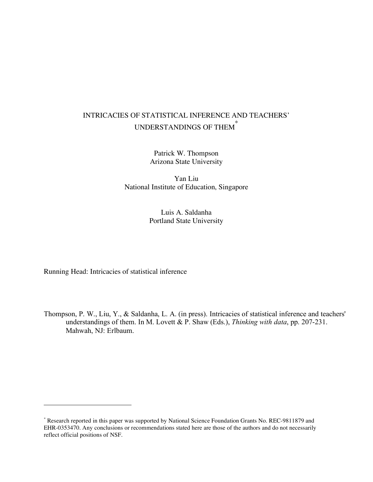# INTRICACIES OF STATISTICAL INFERENCE AND TEACHERS' UNDERSTANDINGS OF THEM<sup>\*</sup>

Patrick W. Thompson Arizona State University

Yan Liu National Institute of Education, Singapore

> Luis A. Saldanha Portland State University

Running Head: Intricacies of statistical inference

 $\overline{a}$ 

Thompson, P. W., Liu, Y., & Saldanha, L. A. (in press). Intricacies of statistical inference and teachers' understandings of them. In M. Lovett & P. Shaw (Eds.), *Thinking with data*, pp. 207-231. Mahwah, NJ: Erlbaum.

<sup>\*</sup> Research reported in this paper was supported by National Science Foundation Grants No. REC-9811879 and EHR-0353470. Any conclusions or recommendations stated here are those of the authors and do not necessarily reflect official positions of NSF.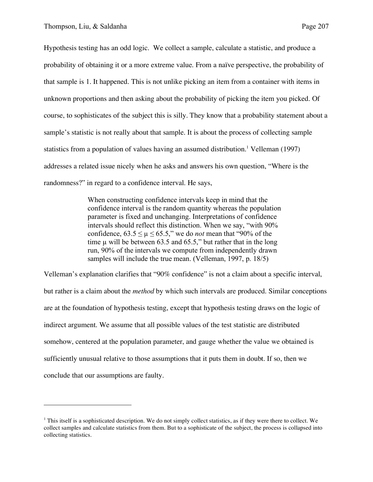$\overline{a}$ 

Hypothesis testing has an odd logic. We collect a sample, calculate a statistic, and produce a probability of obtaining it or a more extreme value. From a naïve perspective, the probability of that sample is 1. It happened. This is not unlike picking an item from a container with items in unknown proportions and then asking about the probability of picking the item you picked. Of course, to sophisticates of the subject this is silly. They know that a probability statement about a sample's statistic is not really about that sample. It is about the process of collecting sample statistics from a population of values having an assumed distribution.<sup>1</sup> Velleman (1997) addresses a related issue nicely when he asks and answers his own question, "Where is the randomness?" in regard to a confidence interval. He says,

> When constructing confidence intervals keep in mind that the confidence interval is the random quantity whereas the population parameter is fixed and unchanging. Interpretations of confidence intervals should reflect this distinction. When we say, "with 90% confidence,  $63.5 \le \mu \le 65.5$ ," we do *not* mean that "90% of the time  $\mu$  will be between 63.5 and 65.5," but rather that in the long run, 90% of the intervals we compute from independently drawn samples will include the true mean. (Velleman, 1997, p. 18/5)

Velleman's explanation clarifies that "90% confidence" is not a claim about a specific interval, but rather is a claim about the *method* by which such intervals are produced. Similar conceptions are at the foundation of hypothesis testing, except that hypothesis testing draws on the logic of indirect argument. We assume that all possible values of the test statistic are distributed somehow, centered at the population parameter, and gauge whether the value we obtained is sufficiently unusual relative to those assumptions that it puts them in doubt. If so, then we conclude that our assumptions are faulty.

 $<sup>1</sup>$  This itself is a sophisticated description. We do not simply collect statistics, as if they were there to collect. We</sup> collect samples and calculate statistics from them. But to a sophisticate of the subject, the process is collapsed into collecting statistics.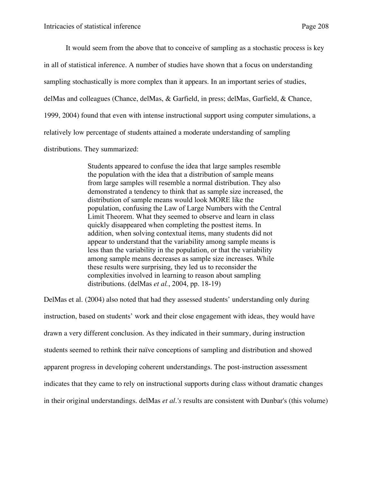It would seem from the above that to conceive of sampling as a stochastic process is key in all of statistical inference. A number of studies have shown that a focus on understanding sampling stochastically is more complex than it appears. In an important series of studies, delMas and colleagues (Chance, delMas, & Garfield, in press; delMas, Garfield, & Chance, 1999, 2004) found that even with intense instructional support using computer simulations, a relatively low percentage of students attained a moderate understanding of sampling distributions. They summarized:

> Students appeared to confuse the idea that large samples resemble the population with the idea that a distribution of sample means from large samples will resemble a normal distribution. They also demonstrated a tendency to think that as sample size increased, the distribution of sample means would look MORE like the population, confusing the Law of Large Numbers with the Central Limit Theorem. What they seemed to observe and learn in class quickly disappeared when completing the posttest items. In addition, when solving contextual items, many students did not appear to understand that the variability among sample means is less than the variability in the population, or that the variability among sample means decreases as sample size increases. While these results were surprising, they led us to reconsider the complexities involved in learning to reason about sampling distributions. (delMas *et al.*, 2004, pp. 18-19)

DelMas et al. (2004) also noted that had they assessed students' understanding only during instruction, based on students' work and their close engagement with ideas, they would have drawn a very different conclusion. As they indicated in their summary, during instruction students seemed to rethink their naïve conceptions of sampling and distribution and showed apparent progress in developing coherent understandings. The post-instruction assessment indicates that they came to rely on instructional supports during class without dramatic changes in their original understandings. delMas *et al.'s* results are consistent with Dunbar's (this volume)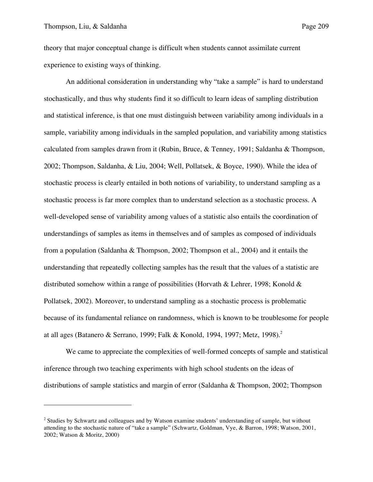$\overline{a}$ 

theory that major conceptual change is difficult when students cannot assimilate current experience to existing ways of thinking.

An additional consideration in understanding why "take a sample" is hard to understand stochastically, and thus why students find it so difficult to learn ideas of sampling distribution and statistical inference, is that one must distinguish between variability among individuals in a sample, variability among individuals in the sampled population, and variability among statistics calculated from samples drawn from it (Rubin, Bruce, & Tenney, 1991; Saldanha & Thompson, 2002; Thompson, Saldanha, & Liu, 2004; Well, Pollatsek, & Boyce, 1990). While the idea of stochastic process is clearly entailed in both notions of variability, to understand sampling as a stochastic process is far more complex than to understand selection as a stochastic process. A well-developed sense of variability among values of a statistic also entails the coordination of understandings of samples as items in themselves and of samples as composed of individuals from a population (Saldanha & Thompson, 2002; Thompson et al., 2004) and it entails the understanding that repeatedly collecting samples has the result that the values of a statistic are distributed somehow within a range of possibilities (Horvath & Lehrer, 1998; Konold & Pollatsek, 2002). Moreover, to understand sampling as a stochastic process is problematic because of its fundamental reliance on randomness, which is known to be troublesome for people at all ages (Batanero & Serrano, 1999; Falk & Konold, 1994, 1997; Metz, 1998). 2

We came to appreciate the complexities of well-formed concepts of sample and statistical inference through two teaching experiments with high school students on the ideas of distributions of sample statistics and margin of error (Saldanha & Thompson, 2002; Thompson

<sup>&</sup>lt;sup>2</sup> Studies by Schwartz and colleagues and by Watson examine students' understanding of sample, but without attending to the stochastic nature of "take a sample" (Schwartz, Goldman, Vye, & Barron, 1998; Watson, 2001, 2002; Watson & Moritz, 2000)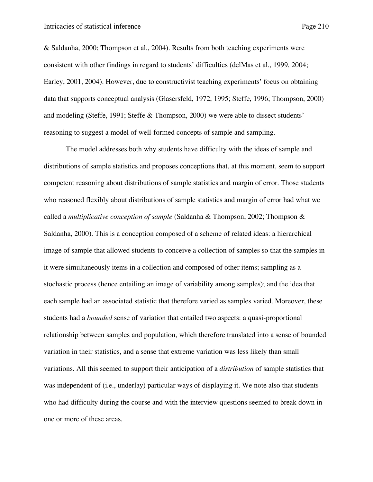& Saldanha, 2000; Thompson et al., 2004). Results from both teaching experiments were consistent with other findings in regard to students' difficulties (delMas et al., 1999, 2004; Earley, 2001, 2004). However, due to constructivist teaching experiments' focus on obtaining data that supports conceptual analysis (Glasersfeld, 1972, 1995; Steffe, 1996; Thompson, 2000) and modeling (Steffe, 1991; Steffe & Thompson, 2000) we were able to dissect students' reasoning to suggest a model of well-formed concepts of sample and sampling.

The model addresses both why students have difficulty with the ideas of sample and distributions of sample statistics and proposes conceptions that, at this moment, seem to support competent reasoning about distributions of sample statistics and margin of error. Those students who reasoned flexibly about distributions of sample statistics and margin of error had what we called a *multiplicative conception of sample* (Saldanha & Thompson, 2002; Thompson & Saldanha, 2000)*.* This is a conception composed of a scheme of related ideas: a hierarchical image of sample that allowed students to conceive a collection of samples so that the samples in it were simultaneously items in a collection and composed of other items; sampling as a stochastic process (hence entailing an image of variability among samples); and the idea that each sample had an associated statistic that therefore varied as samples varied. Moreover, these students had a *bounded* sense of variation that entailed two aspects: a quasi-proportional relationship between samples and population, which therefore translated into a sense of bounded variation in their statistics, and a sense that extreme variation was less likely than small variations. All this seemed to support their anticipation of a *distribution* of sample statistics that was independent of (i.e., underlay) particular ways of displaying it. We note also that students who had difficulty during the course and with the interview questions seemed to break down in one or more of these areas.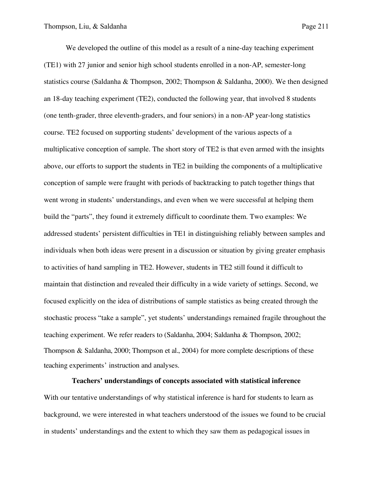We developed the outline of this model as a result of a nine-day teaching experiment (TE1) with 27 junior and senior high school students enrolled in a non-AP, semester-long statistics course (Saldanha & Thompson, 2002; Thompson & Saldanha, 2000). We then designed an 18-day teaching experiment (TE2), conducted the following year, that involved 8 students (one tenth-grader, three eleventh-graders, and four seniors) in a non-AP year-long statistics course. TE2 focused on supporting students' development of the various aspects of a multiplicative conception of sample. The short story of TE2 is that even armed with the insights above, our efforts to support the students in TE2 in building the components of a multiplicative conception of sample were fraught with periods of backtracking to patch together things that went wrong in students' understandings, and even when we were successful at helping them build the "parts", they found it extremely difficult to coordinate them. Two examples: We addressed students' persistent difficulties in TE1 in distinguishing reliably between samples and individuals when both ideas were present in a discussion or situation by giving greater emphasis to activities of hand sampling in TE2. However, students in TE2 still found it difficult to maintain that distinction and revealed their difficulty in a wide variety of settings. Second, we focused explicitly on the idea of distributions of sample statistics as being created through the stochastic process "take a sample", yet students' understandings remained fragile throughout the teaching experiment. We refer readers to (Saldanha, 2004; Saldanha & Thompson, 2002; Thompson & Saldanha, 2000; Thompson et al., 2004) for more complete descriptions of these teaching experiments' instruction and analyses.

**Teachers' understandings of concepts associated with statistical inference** With our tentative understandings of why statistical inference is hard for students to learn as background, we were interested in what teachers understood of the issues we found to be crucial in students' understandings and the extent to which they saw them as pedagogical issues in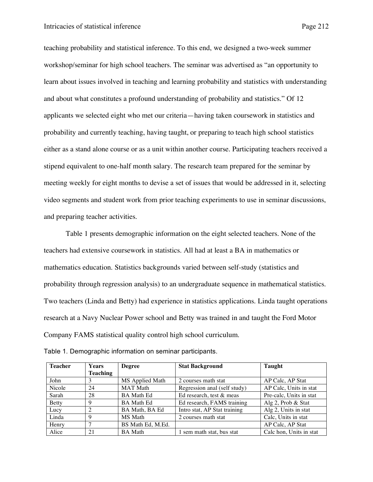teaching probability and statistical inference. To this end, we designed a two-week summer workshop/seminar for high school teachers. The seminar was advertised as "an opportunity to learn about issues involved in teaching and learning probability and statistics with understanding and about what constitutes a profound understanding of probability and statistics." Of 12 applicants we selected eight who met our criteria—having taken coursework in statistics and probability and currently teaching, having taught, or preparing to teach high school statistics either as a stand alone course or as a unit within another course. Participating teachers received a stipend equivalent to one-half month salary. The research team prepared for the seminar by meeting weekly for eight months to devise a set of issues that would be addressed in it, selecting video segments and student work from prior teaching experiments to use in seminar discussions, and preparing teacher activities.

Table 1 presents demographic information on the eight selected teachers. None of the teachers had extensive coursework in statistics. All had at least a BA in mathematics or mathematics education. Statistics backgrounds varied between self-study (statistics and probability through regression analysis) to an undergraduate sequence in mathematical statistics. Two teachers (Linda and Betty) had experience in statistics applications. Linda taught operations research at a Navy Nuclear Power school and Betty was trained in and taught the Ford Motor Company FAMS statistical quality control high school curriculum.

| <b>Teacher</b> | <b>Years</b>    | <b>Degree</b>     | <b>Stat Background</b>       | <b>Taught</b>           |  |
|----------------|-----------------|-------------------|------------------------------|-------------------------|--|
|                | <b>Teaching</b> |                   |                              |                         |  |
| John           |                 | MS Applied Math   | 2 courses math stat          | AP Calc, AP Stat        |  |
| Nicole         | 24              | <b>MAT Math</b>   | Regression anal (self study) | AP Calc, Units in stat  |  |
| Sarah          | 28              | <b>BA</b> Math Ed | Ed research, test & meas     | Pre-calc, Units in stat |  |
| <b>Betty</b>   | 9               | <b>BA</b> Math Ed | Ed research, FAMS training   | Alg 2, Prob & Stat      |  |
| Lucy           | ∍               | BA Math, BA Ed    | Intro stat, AP Stat training | Alg 2, Units in stat    |  |
| Linda          | 9               | MS Math           | 2 courses math stat          | Calc, Units in stat     |  |
| Henry          |                 | BS Math Ed, M.Ed. |                              | AP Calc, AP Stat        |  |
| Alice          | 21              | <b>BA</b> Math    | sem math stat, bus stat      | Calc hon, Units in stat |  |

Table 1. Demographic information on seminar participants.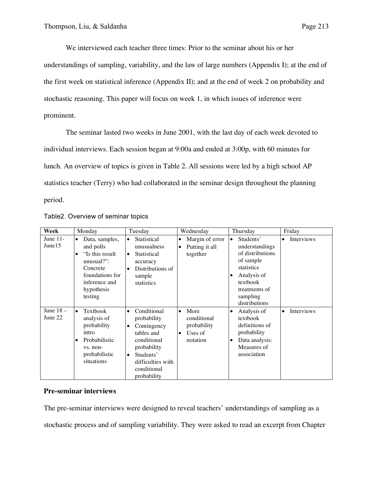We interviewed each teacher three times: Prior to the seminar about his or her understandings of sampling, variability, and the law of large numbers (Appendix I); at the end of the first week on statistical inference (Appendix II); and at the end of week 2 on probability and stochastic reasoning. This paper will focus on week 1, in which issues of inference were prominent.

The seminar lasted two weeks in June 2001, with the last day of each week devoted to individual interviews. Each session began at 9:00a and ended at 3:00p, with 60 minutes for lunch. An overview of topics is given in Table 2. All sessions were led by a high school AP statistics teacher (Terry) who had collaborated in the seminar design throughout the planning period.

| Week<br>Monday        |                                                                                                                                                          | Tuesday                                                                                                                                                                              | Wednesday                                                                           | Thursday                                                                                                                                                              | Friday                  |
|-----------------------|----------------------------------------------------------------------------------------------------------------------------------------------------------|--------------------------------------------------------------------------------------------------------------------------------------------------------------------------------------|-------------------------------------------------------------------------------------|-----------------------------------------------------------------------------------------------------------------------------------------------------------------------|-------------------------|
| June $11-$<br>June15  | Data, samples,<br>$\bullet$<br>and polls<br>"Is this result"<br>٠<br>unusual?":<br>Concrete<br>foundations for<br>inference and<br>hypothesis<br>testing | Statistical<br>$\bullet$<br>unusualness<br>Statistical<br>$\bullet$<br>accuracy<br>Distributions of<br>$\bullet$<br>sample<br>statistics                                             | Margin of error<br>$\bullet$<br>Putting it all<br>$\bullet$<br>together             | Students'<br>$\bullet$<br>understandings<br>of distributions<br>of sample<br>statistics<br>Analysis of<br>٠<br>textbook<br>treatments of<br>sampling<br>distributions | Interviews<br>$\bullet$ |
| June $18-$<br>June 22 | Textbook<br>$\bullet$<br>analysis of<br>probability<br>intro<br>Probabilistic<br>٠<br>vs. non-<br>probabilistic<br>situations                            | Conditional<br>$\bullet$<br>probability<br>Contingency<br>٠<br>tables and<br>conditional<br>probability<br>Students'<br>$\bullet$<br>difficulties with<br>conditional<br>probability | More<br>$\bullet$<br>conditional<br>probability<br>Uses of<br>$\bullet$<br>notation | Analysis of<br>٠<br>textbook<br>definitions of<br>probability<br>Data analysis:<br>٠<br>Measures of<br>association                                                    | Interviews<br>$\bullet$ |

#### **Pre-seminar interviews**

The pre-seminar interviews were designed to reveal teachers' understandings of sampling as a stochastic process and of sampling variability. They were asked to read an excerpt from Chapter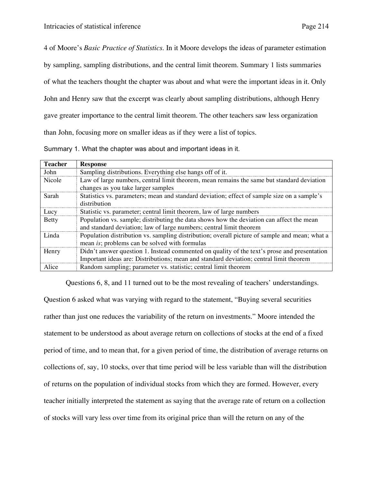4 of Moore's *Basic Practice of Statistics.* In it Moore develops the ideas of parameter estimation

by sampling, sampling distributions, and the central limit theorem. Summary 1 lists summaries

of what the teachers thought the chapter was about and what were the important ideas in it. Only

John and Henry saw that the excerpt was clearly about sampling distributions, although Henry

gave greater importance to the central limit theorem. The other teachers saw less organization

than John, focusing more on smaller ideas as if they were a list of topics.

|  |  | Summary 1. What the chapter was about and important ideas in it. |  |
|--|--|------------------------------------------------------------------|--|
|  |  |                                                                  |  |

| <b>Teacher</b> | <b>Response</b>                                                                               |
|----------------|-----------------------------------------------------------------------------------------------|
| John           | Sampling distributions. Everything else hangs off of it.                                      |
| Nicole         | Law of large numbers, central limit theorem, mean remains the same but standard deviation     |
|                | changes as you take larger samples                                                            |
| Sarah          | Statistics vs. parameters; mean and standard deviation; effect of sample size on a sample's   |
|                | distribution                                                                                  |
| Lucy           | Statistic vs. parameter; central limit theorem, law of large numbers                          |
| <b>Betty</b>   | Population vs. sample; distributing the data shows how the deviation can affect the mean      |
|                | and standard deviation; law of large numbers; central limit theorem                           |
| Linda          | Population distribution vs. sampling distribution; overall picture of sample and mean; what a |
|                | mean is; problems can be solved with formulas                                                 |
| Henry          | Didn't answer question 1. Instead commented on quality of the text's prose and presentation   |
|                | Important ideas are: Distributions; mean and standard deviation; central limit theorem        |
| Alice          | Random sampling; parameter vs. statistic; central limit theorem                               |

Questions 6, 8, and 11 turned out to be the most revealing of teachers' understandings.

Question 6 asked what was varying with regard to the statement, "Buying several securities rather than just one reduces the variability of the return on investments." Moore intended the statement to be understood as about average return on collections of stocks at the end of a fixed period of time, and to mean that, for a given period of time, the distribution of average returns on collections of, say, 10 stocks, over that time period will be less variable than will the distribution of returns on the population of individual stocks from which they are formed. However, every teacher initially interpreted the statement as saying that the average rate of return on a collection of stocks will vary less over time from its original price than will the return on any of the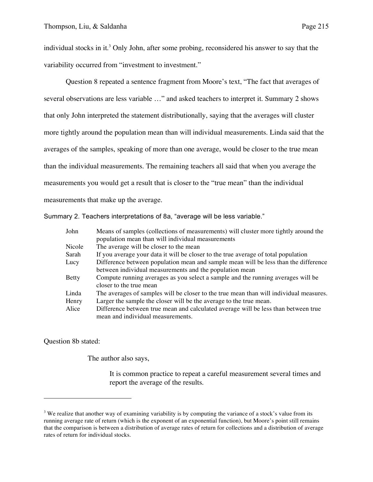individual stocks in it. <sup>3</sup> Only John, after some probing, reconsidered his answer to say that the variability occurred from "investment to investment."

Question 8 repeated a sentence fragment from Moore's text, "The fact that averages of several observations are less variable …" and asked teachers to interpret it. Summary 2 shows that only John interpreted the statement distributionally, saying that the averages will cluster more tightly around the population mean than will individual measurements. Linda said that the averages of the samples, speaking of more than one average, would be closer to the true mean than the individual measurements. The remaining teachers all said that when you average the measurements you would get a result that is closer to the "true mean" than the individual measurements that make up the average.

Summary 2. Teachers interpretations of 8a, "average will be less variable."

| John         | Means of samples (collections of measurements) will cluster more tightly around the<br>population mean than will individual measurements       |
|--------------|------------------------------------------------------------------------------------------------------------------------------------------------|
| Nicole       | The average will be closer to the mean                                                                                                         |
| Sarah        | If you average your data it will be closer to the true average of total population                                                             |
| Lucy         | Difference between population mean and sample mean will be less than the difference<br>between individual measurements and the population mean |
| <b>Betty</b> | Compute running averages as you select a sample and the running averages will be<br>closer to the true mean                                    |
| Linda        | The averages of samples will be closer to the true mean than will individual measures.                                                         |
| Henry        | Larger the sample the closer will be the average to the true mean.                                                                             |
| Alice        | Difference between true mean and calculated average will be less than between true<br>mean and individual measurements.                        |

Question 8b stated:

 $\overline{a}$ 

The author also says,

It is common practice to repeat a careful measurement several times and report the average of the results.

<sup>&</sup>lt;sup>3</sup> We realize that another way of examining variability is by computing the variance of a stock's value from its running average rate of return (which is the exponent of an exponential function), but Moore's point still remains that the comparison is between a distribution of average rates of return for collections and a distribution of average rates of return for individual stocks.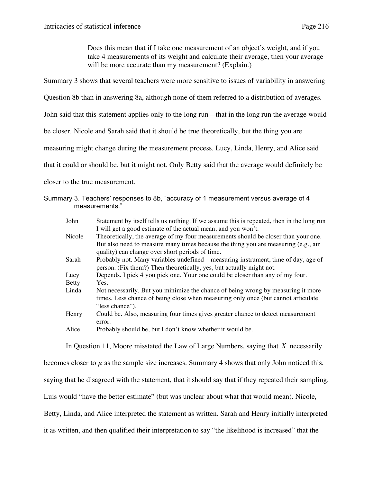Does this mean that if I take one measurement of an object's weight, and if you take 4 measurements of its weight and calculate their average, then your average will be more accurate than my measurement? (Explain.)

Summary 3 shows that several teachers were more sensitive to issues of variability in answering

Question 8b than in answering 8a, although none of them referred to a distribution of averages.

John said that this statement applies only to the long run—that in the long run the average would

be closer. Nicole and Sarah said that it should be true theoretically, but the thing you are

measuring might change during the measurement process. Lucy, Linda, Henry, and Alice said

that it could or should be, but it might not. Only Betty said that the average would definitely be

closer to the true measurement.

Summary 3. Teachers' responses to 8b, "accuracy of 1 measurement versus average of 4 measurements."

| Statement by itself tells us nothing. If we assume this is repeated, then in the long run                                                                  |
|------------------------------------------------------------------------------------------------------------------------------------------------------------|
| I will get a good estimate of the actual mean, and you won't.                                                                                              |
| Theoretically, the average of my four measurements should be closer than your one.                                                                         |
| But also need to measure many times because the thing you are measuring (e.g., air                                                                         |
| Probably not. Many variables undefined - measuring instrument, time of day, age of<br>person. (Fix them?) Then theoretically, yes, but actually might not. |
| Depends. I pick 4 you pick one. Your one could be closer than any of my four.                                                                              |
|                                                                                                                                                            |
| Not necessarily. But you minimize the chance of being wrong by measuring it more                                                                           |
| times. Less chance of being close when measuring only once (but cannot articulate                                                                          |
|                                                                                                                                                            |
| Could be. Also, measuring four times gives greater chance to detect measurement                                                                            |
|                                                                                                                                                            |
| Probably should be, but I don't know whether it would be.                                                                                                  |
|                                                                                                                                                            |

In Question 11, Moore misstated the Law of Large Numbers, saying that  $\overline{X}$  necessarily

becomes closer to  $\mu$  as the sample size increases. Summary 4 shows that only John noticed this, saying that he disagreed with the statement, that it should say that if they repeated their sampling, Luis would "have the better estimate" (but was unclear about what that would mean). Nicole,

Betty, Linda, and Alice interpreted the statement as written. Sarah and Henry initially interpreted

it as written, and then qualified their interpretation to say "the likelihood is increased" that the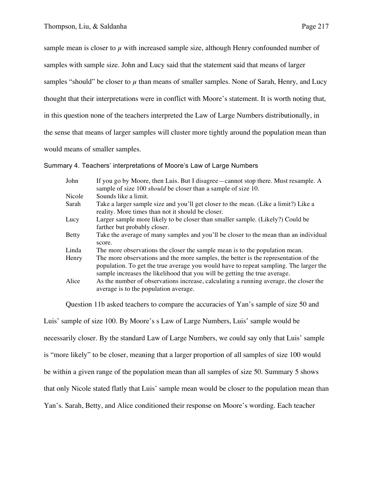sample mean is closer to  $\mu$  with increased sample size, although Henry confounded number of

samples with sample size. John and Lucy said that the statement said that means of larger

samples "should" be closer to  $\mu$  than means of smaller samples. None of Sarah, Henry, and Lucy

thought that their interpretations were in conflict with Moore's statement. It is worth noting that,

in this question none of the teachers interpreted the Law of Large Numbers distributionally, in

the sense that means of larger samples will cluster more tightly around the population mean than

would means of smaller samples.

Summary 4. Teachers' interpretations of Moore's Law of Large Numbers

| John         | If you go by Moore, then Luis. But I disagree—cannot stop there. Must resample. A                                                                                                                                                                          |
|--------------|------------------------------------------------------------------------------------------------------------------------------------------------------------------------------------------------------------------------------------------------------------|
|              | sample of size 100 <i>should</i> be closer than a sample of size 10.                                                                                                                                                                                       |
| Nicole       | Sounds like a limit.                                                                                                                                                                                                                                       |
| Sarah        | Take a larger sample size and you'll get closer to the mean. (Like a limit?) Like a<br>reality. More times than not it should be closer.                                                                                                                   |
| Lucy         | Larger sample more likely to be closer than smaller sample. (Likely?) Could be<br>farther but probably closer.                                                                                                                                             |
| <b>Betty</b> | Take the average of many samples and you'll be closer to the mean than an individual<br>score.                                                                                                                                                             |
| Linda        | The more observations the closer the sample mean is to the population mean.                                                                                                                                                                                |
| Henry        | The more observations and the more samples, the better is the representation of the<br>population. To get the true average you would have to repeat sampling. The larger the<br>sample increases the likelihood that you will be getting the true average. |
| Alice        | As the number of observations increase, calculating a running average, the closer the<br>average is to the population average.                                                                                                                             |

Question 11b asked teachers to compare the accuracies of Yan's sample of size 50 and

Luis' sample of size 100. By Moore's s Law of Large Numbers, Luis' sample would be necessarily closer. By the standard Law of Large Numbers, we could say only that Luis' sample is "more likely" to be closer, meaning that a larger proportion of all samples of size 100 would be within a given range of the population mean than all samples of size 50. Summary 5 shows that only Nicole stated flatly that Luis' sample mean would be closer to the population mean than Yan's. Sarah, Betty, and Alice conditioned their response on Moore's wording. Each teacher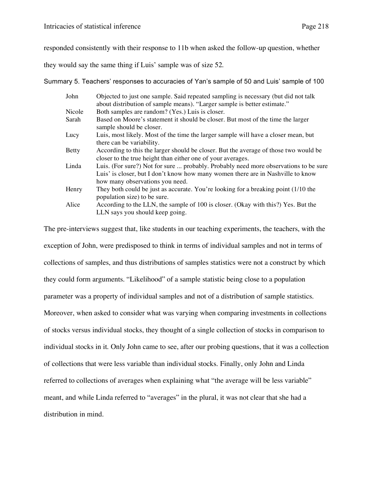responded consistently with their response to 11b when asked the follow-up question, whether

they would say the same thing if Luis' sample was of size 52.

Summary 5. Teachers' responses to accuracies of Yan's sample of 50 and Luis' sample of 100

| John         | Objected to just one sample. Said repeated sampling is necessary (but did not talk                                 |
|--------------|--------------------------------------------------------------------------------------------------------------------|
|              | about distribution of sample means). "Larger sample is better estimate."                                           |
| Nicole       | Both samples are random? (Yes.) Luis is closer.                                                                    |
| Sarah        | Based on Moore's statement it should be closer. But most of the time the larger<br>sample should be closer.        |
| Lucy         | Luis, most likely. Most of the time the larger sample will have a closer mean, but                                 |
|              | there can be variability.                                                                                          |
| <b>Betty</b> | According to this the larger should be closer. But the average of those two would be                               |
|              | closer to the true height than either one of your averages.                                                        |
| Linda        | Luis. (For sure?) Not for sure  probably. Probably need more observations to be sure                               |
|              | Luis' is closer, but I don't know how many women there are in Nashville to know                                    |
|              | how many observations you need.                                                                                    |
| Henry        | They both could be just as accurate. You're looking for a breaking point (1/10 the<br>population size) to be sure. |
| Alice        | According to the LLN, the sample of 100 is closer. (Okay with this?) Yes. But the                                  |
|              | LLN says you should keep going.                                                                                    |

The pre-interviews suggest that, like students in our teaching experiments, the teachers, with the exception of John, were predisposed to think in terms of individual samples and not in terms of collections of samples, and thus distributions of samples statistics were not a construct by which they could form arguments. "Likelihood" of a sample statistic being close to a population parameter was a property of individual samples and not of a distribution of sample statistics. Moreover, when asked to consider what was varying when comparing investments in collections of stocks versus individual stocks, they thought of a single collection of stocks in comparison to individual stocks in it. Only John came to see, after our probing questions, that it was a collection of collections that were less variable than individual stocks. Finally, only John and Linda referred to collections of averages when explaining what "the average will be less variable" meant, and while Linda referred to "averages" in the plural, it was not clear that she had a distribution in mind.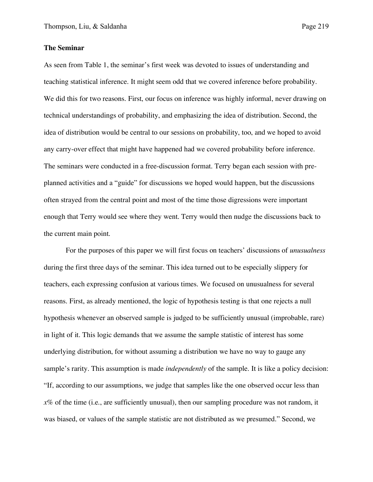#### **The Seminar**

As seen from Table 1, the seminar's first week was devoted to issues of understanding and teaching statistical inference. It might seem odd that we covered inference before probability. We did this for two reasons. First, our focus on inference was highly informal, never drawing on technical understandings of probability, and emphasizing the idea of distribution. Second, the idea of distribution would be central to our sessions on probability, too, and we hoped to avoid any carry-over effect that might have happened had we covered probability before inference. The seminars were conducted in a free-discussion format. Terry began each session with preplanned activities and a "guide" for discussions we hoped would happen, but the discussions often strayed from the central point and most of the time those digressions were important enough that Terry would see where they went. Terry would then nudge the discussions back to the current main point.

For the purposes of this paper we will first focus on teachers' discussions of *unusualness* during the first three days of the seminar. This idea turned out to be especially slippery for teachers, each expressing confusion at various times. We focused on unusualness for several reasons. First, as already mentioned, the logic of hypothesis testing is that one rejects a null hypothesis whenever an observed sample is judged to be sufficiently unusual (improbable, rare) in light of it. This logic demands that we assume the sample statistic of interest has some underlying distribution, for without assuming a distribution we have no way to gauge any sample's rarity. This assumption is made *independently* of the sample. It is like a policy decision: "If, according to our assumptions, we judge that samples like the one observed occur less than *x*% of the time (i.e., are sufficiently unusual), then our sampling procedure was not random, it was biased, or values of the sample statistic are not distributed as we presumed." Second, we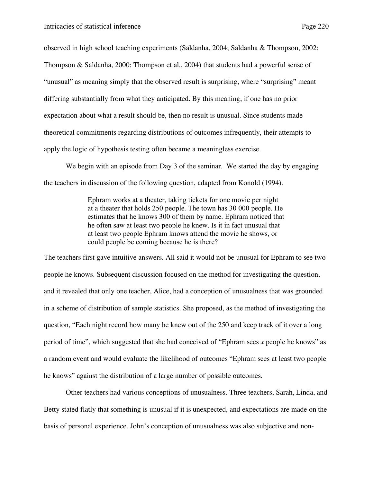observed in high school teaching experiments (Saldanha, 2004; Saldanha & Thompson, 2002; Thompson & Saldanha, 2000; Thompson et al., 2004) that students had a powerful sense of "unusual" as meaning simply that the observed result is surprising, where "surprising" meant differing substantially from what they anticipated. By this meaning, if one has no prior expectation about what a result should be, then no result is unusual. Since students made theoretical commitments regarding distributions of outcomes infrequently, their attempts to apply the logic of hypothesis testing often became a meaningless exercise.

We begin with an episode from Day 3 of the seminar. We started the day by engaging the teachers in discussion of the following question, adapted from Konold (1994).

> Ephram works at a theater, taking tickets for one movie per night at a theater that holds 250 people. The town has 30 000 people. He estimates that he knows 300 of them by name. Ephram noticed that he often saw at least two people he knew. Is it in fact unusual that at least two people Ephram knows attend the movie he shows, or could people be coming because he is there?

The teachers first gave intuitive answers. All said it would not be unusual for Ephram to see two people he knows. Subsequent discussion focused on the method for investigating the question, and it revealed that only one teacher, Alice, had a conception of unusualness that was grounded in a scheme of distribution of sample statistics. She proposed, as the method of investigating the question, "Each night record how many he knew out of the 250 and keep track of it over a long period of time", which suggested that she had conceived of "Ephram sees *x* people he knows" as a random event and would evaluate the likelihood of outcomes "Ephram sees at least two people he knows" against the distribution of a large number of possible outcomes.

Other teachers had various conceptions of unusualness. Three teachers, Sarah, Linda, and Betty stated flatly that something is unusual if it is unexpected, and expectations are made on the basis of personal experience. John's conception of unusualness was also subjective and non-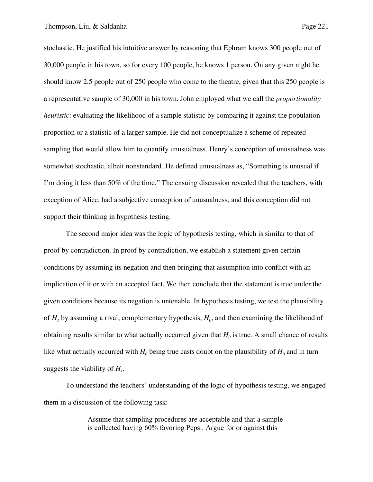stochastic. He justified his intuitive answer by reasoning that Ephram knows 300 people out of 30,000 people in his town, so for every 100 people, he knows 1 person. On any given night he should know 2.5 people out of 250 people who come to the theatre, given that this 250 people is a representative sample of 30,000 in his town. John employed what we call the *proportionality heuristic*: evaluating the likelihood of a sample statistic by comparing it against the population proportion or a statistic of a larger sample. He did not conceptualize a scheme of repeated sampling that would allow him to quantify unusualness. Henry's conception of unusualness was somewhat stochastic, albeit nonstandard. He defined unusualness as, "Something is unusual if I'm doing it less than 50% of the time." The ensuing discussion revealed that the teachers, with exception of Alice, had a subjective conception of unusualness, and this conception did not support their thinking in hypothesis testing.

The second major idea was the logic of hypothesis testing, which is similar to that of proof by contradiction. In proof by contradiction, we establish a statement given certain conditions by assuming its negation and then bringing that assumption into conflict with an implication of it or with an accepted fact. We then conclude that the statement is true under the given conditions because its negation is untenable. In hypothesis testing, we test the plausibility of  $H_1$  by assuming a rival, complementary hypothesis,  $H_0$ , and then examining the likelihood of obtaining results similar to what actually occurred given that  $H_0$  is true. A small chance of results like what actually occurred with  $H_0$  being true casts doubt on the plausibility of  $H_0$  and in turn suggests the viability of  $H<sub>1</sub>$ .

To understand the teachers' understanding of the logic of hypothesis testing, we engaged them in a discussion of the following task:

> Assume that sampling procedures are acceptable and that a sample is collected having 60% favoring Pepsi. Argue for or against this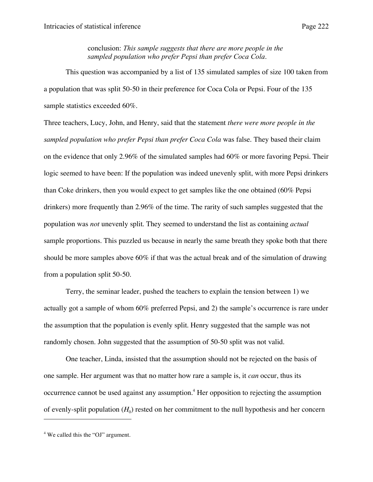conclusion: *This sample suggests that there are more people in the sampled population who prefer Pepsi than prefer Coca Cola*.

This question was accompanied by a list of 135 simulated samples of size 100 taken from a population that was split 50-50 in their preference for Coca Cola or Pepsi. Four of the 135 sample statistics exceeded 60%.

Three teachers, Lucy, John, and Henry, said that the statement *there were more people in the sampled population who prefer Pepsi than prefer Coca Cola* was false. They based their claim on the evidence that only 2.96% of the simulated samples had 60% or more favoring Pepsi. Their logic seemed to have been: If the population was indeed unevenly split, with more Pepsi drinkers than Coke drinkers, then you would expect to get samples like the one obtained (60% Pepsi drinkers) more frequently than 2.96% of the time. The rarity of such samples suggested that the population was *not* unevenly split. They seemed to understand the list as containing *actual* sample proportions. This puzzled us because in nearly the same breath they spoke both that there should be more samples above 60% if that was the actual break and of the simulation of drawing from a population split 50-50.

Terry, the seminar leader, pushed the teachers to explain the tension between 1) we actually got a sample of whom 60% preferred Pepsi, and 2) the sample's occurrence is rare under the assumption that the population is evenly split. Henry suggested that the sample was not randomly chosen. John suggested that the assumption of 50-50 split was not valid.

One teacher, Linda, insisted that the assumption should not be rejected on the basis of one sample. Her argument was that no matter how rare a sample is, it *can* occur, thus its occurrence cannot be used against any assumption.<sup>4</sup> Her opposition to rejecting the assumption of evenly-split population  $(H_0)$  rested on her commitment to the null hypothesis and her concern

 $\overline{a}$ 

<sup>4</sup> We called this the "OJ" argument.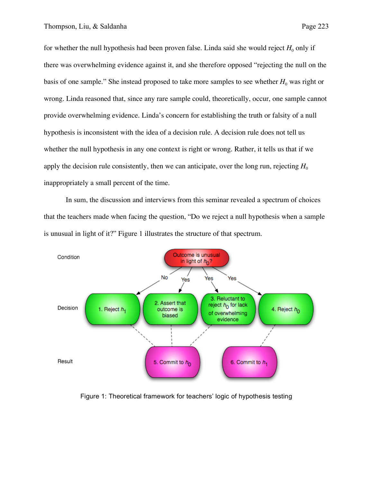there was overwhelming evidence against it, and she therefore opposed "rejecting the null on the basis of one sample." She instead proposed to take more samples to see whether  $H_0$  was right or wrong. Linda reasoned that, since any rare sample could, theoretically, occur, one sample cannot provide overwhelming evidence. Linda's concern for establishing the truth or falsity of a null hypothesis is inconsistent with the idea of a decision rule. A decision rule does not tell us whether the null hypothesis in any one context is right or wrong. Rather, it tells us that if we apply the decision rule consistently, then we can anticipate, over the long run, rejecting  $H_0$ inappropriately a small percent of the time.

In sum, the discussion and interviews from this seminar revealed a spectrum of choices that the teachers made when facing the question, "Do we reject a null hypothesis when a sample is unusual in light of it?" Figure 1 illustrates the structure of that spectrum.



Figure 1: Theoretical framework for teachers' logic of hypothesis testing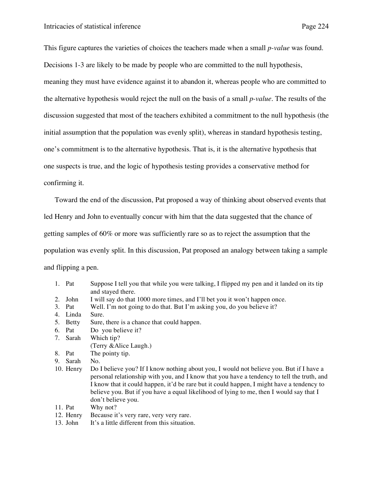This figure captures the varieties of choices the teachers made when a small *p-value* was found. Decisions 1-3 are likely to be made by people who are committed to the null hypothesis, meaning they must have evidence against it to abandon it, whereas people who are committed to the alternative hypothesis would reject the null on the basis of a small *p-value*. The results of the discussion suggested that most of the teachers exhibited a commitment to the null hypothesis (the initial assumption that the population was evenly split), whereas in standard hypothesis testing, one's commitment is to the alternative hypothesis. That is, it is the alternative hypothesis that one suspects is true, and the logic of hypothesis testing provides a conservative method for confirming it.

Toward the end of the discussion, Pat proposed a way of thinking about observed events that led Henry and John to eventually concur with him that the data suggested that the chance of getting samples of 60% or more was sufficiently rare so as to reject the assumption that the population was evenly split. In this discussion, Pat proposed an analogy between taking a sample and flipping a pen.

| 1. Pat | Suppose I tell you that while you were talking, I flipped my pen and it landed on its tip |
|--------|-------------------------------------------------------------------------------------------|
|        | and stayed there.                                                                         |

- 2. John I will say do that 1000 more times, and I'll bet you it won't happen once.
- 3. Pat Well. I'm not going to do that. But I'm asking you, do you believe it?
- 4. Linda Sure.
- 5. Betty Sure, there is a chance that could happen.
- 6. Pat Do you believe it?
- 7. Sarah Which tip?
	- (Terry &Alice Laugh.)
- 8. Pat The pointy tip.
- 9. Sarah No.
- 10. Henry Do I believe you? If I know nothing about you, I would not believe you. But if I have a personal relationship with you, and I know that you have a tendency to tell the truth, and I know that it could happen, it'd be rare but it could happen, I might have a tendency to believe you. But if you have a equal likelihood of lying to me, then I would say that I don't believe you.
- 11. Pat Why not?
- 12. Henry Because it's very rare, very very rare.
- 13. John It's a little different from this situation.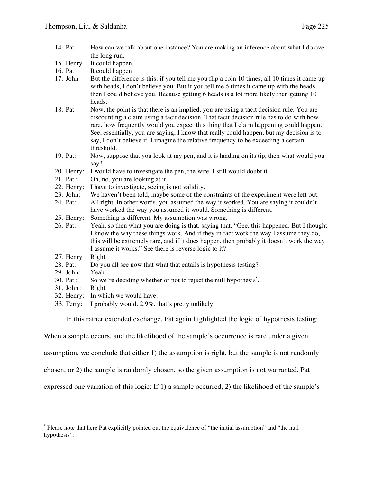- 14. Pat How can we talk about one instance? You are making an inference about what I do over the long run.
- 15. Henry It could happen.
- 16. Pat It could happen
- 17. John But the difference is this: if you tell me you flip a coin 10 times, all 10 times it came up with heads, I don't believe you. But if you tell me 6 times it came up with the heads, then I could believe you. Because getting 6 heads is a lot more likely than getting 10 heads.
- 18. Pat Now, the point is that there is an implied, you are using a tacit decision rule. You are discounting a claim using a tacit decision. That tacit decision rule has to do with how rare, how frequently would you expect this thing that I claim happening could happen. See, essentially, you are saying, I know that really could happen, but my decision is to say, I don't believe it. I imagine the relative frequency to be exceeding a certain threshold.
- 19. Pat: Now, suppose that you look at my pen, and it is landing on its tip, then what would you say?
- 20. Henry: I would have to investigate the pen, the wire. I still would doubt it.
- 21. Pat : Oh, no, you are looking at it.
- 22. Henry: I have to investigate, seeing is not validity.
- 23. John: We haven't been told, maybe some of the constraints of the experiment were left out.
- 24. Pat: All right. In other words, you assumed the way it worked. You are saying it couldn't have worked the way you assumed it would. Something is different.
- 25. Henry: Something is different. My assumption was wrong.
- 26. Pat: Yeah, so then what you are doing is that, saying that, "Gee, this happened. But I thought I know the way these things work. And if they in fact work the way I assume they do, this will be extremely rare, and if it does happen, then probably it doesn't work the way I assume it works." See there is reverse logic to it?
- 27. Henry : Right.
- 28. Pat: Do you all see now that what that entails is hypothesis testing?
- 29. John: Yeah.
- 30. Pat : So we're deciding whether or not to reject the null hypothesis<sup>5</sup>.
- 31. John : Right.

 $\overline{a}$ 

- 32. Henry: In which we would have.
- 33. Terry: I probably would. 2.9%, that's pretty unlikely.

In this rather extended exchange, Pat again highlighted the logic of hypothesis testing:

When a sample occurs, and the likelihood of the sample's occurrence is rare under a given

assumption, we conclude that either 1) the assumption is right, but the sample is not randomly

chosen, or 2) the sample is randomly chosen, so the given assumption is not warranted. Pat

expressed one variation of this logic: If 1) a sample occurred, 2) the likelihood of the sample's

<sup>5</sup> Please note that here Pat explicitly pointed out the equivalence of "the initial assumption" and "the null hypothesis".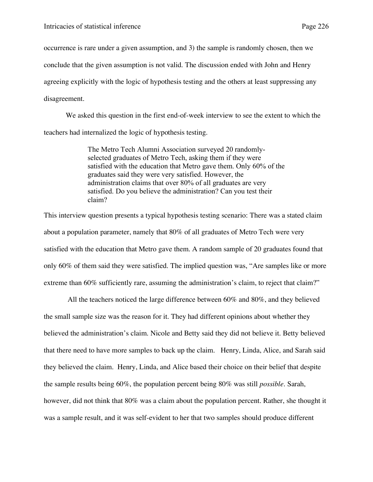occurrence is rare under a given assumption, and 3) the sample is randomly chosen, then we conclude that the given assumption is not valid. The discussion ended with John and Henry agreeing explicitly with the logic of hypothesis testing and the others at least suppressing any disagreement.

We asked this question in the first end-of-week interview to see the extent to which the teachers had internalized the logic of hypothesis testing.

> The Metro Tech Alumni Association surveyed 20 randomlyselected graduates of Metro Tech, asking them if they were satisfied with the education that Metro gave them. Only 60% of the graduates said they were very satisfied. However, the administration claims that over 80% of all graduates are very satisfied. Do you believe the administration? Can you test their claim?

This interview question presents a typical hypothesis testing scenario: There was a stated claim about a population parameter, namely that 80% of all graduates of Metro Tech were very satisfied with the education that Metro gave them. A random sample of 20 graduates found that only 60% of them said they were satisfied. The implied question was, "Are samples like or more extreme than 60% sufficiently rare, assuming the administration's claim, to reject that claim?"

All the teachers noticed the large difference between 60% and 80%, and they believed the small sample size was the reason for it. They had different opinions about whether they believed the administration's claim. Nicole and Betty said they did not believe it. Betty believed that there need to have more samples to back up the claim. Henry, Linda, Alice, and Sarah said they believed the claim. Henry, Linda, and Alice based their choice on their belief that despite the sample results being 60%, the population percent being 80% was still *possible*. Sarah, however, did not think that 80% was a claim about the population percent. Rather, she thought it was a sample result, and it was self-evident to her that two samples should produce different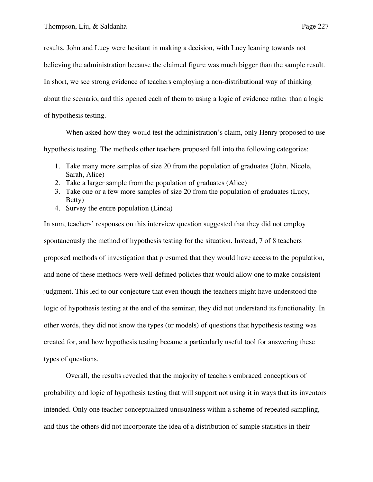results. John and Lucy were hesitant in making a decision, with Lucy leaning towards not believing the administration because the claimed figure was much bigger than the sample result. In short, we see strong evidence of teachers employing a non-distributional way of thinking about the scenario, and this opened each of them to using a logic of evidence rather than a logic of hypothesis testing.

When asked how they would test the administration's claim, only Henry proposed to use hypothesis testing. The methods other teachers proposed fall into the following categories:

- 1. Take many more samples of size 20 from the population of graduates (John, Nicole, Sarah, Alice)
- 2. Take a larger sample from the population of graduates (Alice)
- 3. Take one or a few more samples of size 20 from the population of graduates (Lucy, Betty)
- 4. Survey the entire population (Linda)

In sum, teachers' responses on this interview question suggested that they did not employ spontaneously the method of hypothesis testing for the situation. Instead, 7 of 8 teachers proposed methods of investigation that presumed that they would have access to the population, and none of these methods were well-defined policies that would allow one to make consistent judgment. This led to our conjecture that even though the teachers might have understood the logic of hypothesis testing at the end of the seminar, they did not understand its functionality. In other words, they did not know the types (or models) of questions that hypothesis testing was created for, and how hypothesis testing became a particularly useful tool for answering these types of questions.

Overall, the results revealed that the majority of teachers embraced conceptions of probability and logic of hypothesis testing that will support not using it in ways that its inventors intended. Only one teacher conceptualized unusualness within a scheme of repeated sampling, and thus the others did not incorporate the idea of a distribution of sample statistics in their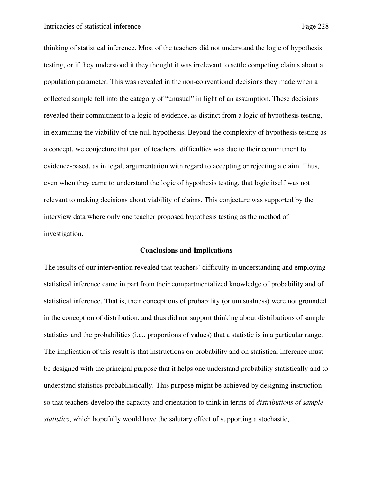thinking of statistical inference. Most of the teachers did not understand the logic of hypothesis testing, or if they understood it they thought it was irrelevant to settle competing claims about a population parameter. This was revealed in the non-conventional decisions they made when a collected sample fell into the category of "unusual" in light of an assumption. These decisions revealed their commitment to a logic of evidence, as distinct from a logic of hypothesis testing, in examining the viability of the null hypothesis. Beyond the complexity of hypothesis testing as a concept, we conjecture that part of teachers' difficulties was due to their commitment to evidence-based, as in legal, argumentation with regard to accepting or rejecting a claim. Thus, even when they came to understand the logic of hypothesis testing, that logic itself was not relevant to making decisions about viability of claims. This conjecture was supported by the interview data where only one teacher proposed hypothesis testing as the method of investigation.

#### **Conclusions and Implications**

The results of our intervention revealed that teachers' difficulty in understanding and employing statistical inference came in part from their compartmentalized knowledge of probability and of statistical inference. That is, their conceptions of probability (or unusualness) were not grounded in the conception of distribution, and thus did not support thinking about distributions of sample statistics and the probabilities (i.e., proportions of values) that a statistic is in a particular range. The implication of this result is that instructions on probability and on statistical inference must be designed with the principal purpose that it helps one understand probability statistically and to understand statistics probabilistically. This purpose might be achieved by designing instruction so that teachers develop the capacity and orientation to think in terms of *distributions of sample statistics*, which hopefully would have the salutary effect of supporting a stochastic,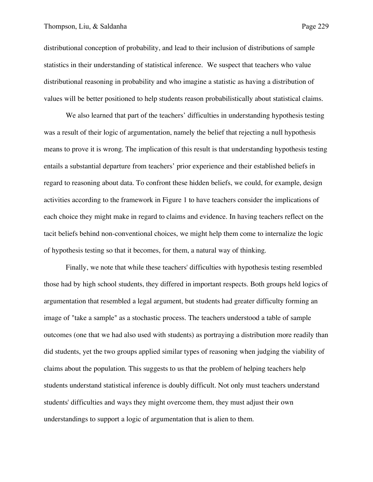distributional conception of probability, and lead to their inclusion of distributions of sample statistics in their understanding of statistical inference. We suspect that teachers who value distributional reasoning in probability and who imagine a statistic as having a distribution of values will be better positioned to help students reason probabilistically about statistical claims.

We also learned that part of the teachers' difficulties in understanding hypothesis testing was a result of their logic of argumentation, namely the belief that rejecting a null hypothesis means to prove it is wrong. The implication of this result is that understanding hypothesis testing entails a substantial departure from teachers' prior experience and their established beliefs in regard to reasoning about data. To confront these hidden beliefs, we could, for example, design activities according to the framework in Figure 1 to have teachers consider the implications of each choice they might make in regard to claims and evidence. In having teachers reflect on the tacit beliefs behind non-conventional choices, we might help them come to internalize the logic of hypothesis testing so that it becomes, for them, a natural way of thinking.

Finally, we note that while these teachers' difficulties with hypothesis testing resembled those had by high school students, they differed in important respects. Both groups held logics of argumentation that resembled a legal argument, but students had greater difficulty forming an image of "take a sample" as a stochastic process. The teachers understood a table of sample outcomes (one that we had also used with students) as portraying a distribution more readily than did students, yet the two groups applied similar types of reasoning when judging the viability of claims about the population. This suggests to us that the problem of helping teachers help students understand statistical inference is doubly difficult. Not only must teachers understand students' difficulties and ways they might overcome them, they must adjust their own understandings to support a logic of argumentation that is alien to them.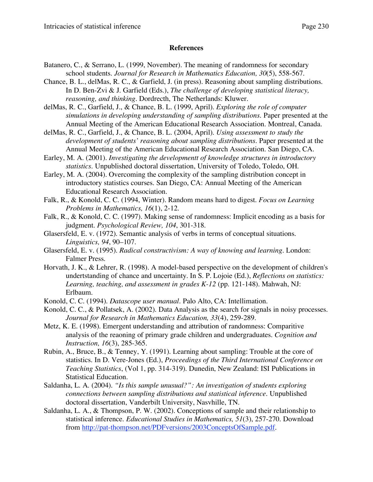#### **References**

- Batanero, C., & Serrano, L. (1999, November). The meaning of randomness for secondary school students. *Journal for Research in Mathematics Education, 30*(5), 558-567.
- Chance, B. L., delMas, R. C., & Garfield, J. (in press). Reasoning about sampling distributions. In D. Ben-Zvi & J. Garfield (Eds.), *The challenge of developing statistical literacy, reasoning, and thinking*. Dordrecth, The Netherlands: Kluwer.
- delMas, R. C., Garfield, J., & Chance, B. L. (1999, April). *Exploring the role of computer simulations in developing understanding of sampling distributions*. Paper presented at the Annual Meeting of the American Educational Research Association. Montreal, Canada.
- delMas, R. C., Garfield, J., & Chance, B. L. (2004, April). *Using assessment to study the development of students' reasoning about sampling distributions*. Paper presented at the Annual Meeting of the American Educational Research Association. San Diego, CA.
- Earley, M. A. (2001). *Investigating the developmentt of knowledge structures in introductory statistics.* Unpublished doctoral dissertation, University of Toledo, Toledo, OH.
- Earley, M. A. (2004). Overcoming the complexity of the sampling distribution concept in introductory statistics courses. San Diego, CA: Annual Meeting of the American Educational Research Association.
- Falk, R., & Konold, C. C. (1994, Winter). Random means hard to digest. *Focus on Learning Problems in Mathematics, 16*(1), 2-12.
- Falk, R., & Konold, C. C. (1997). Making sense of randomness: Implicit encoding as a basis for judgment. *Psychological Review, 104*, 301-318.
- Glasersfeld, E. v. (1972). Semantic analysis of verbs in terms of conceptual situations. *Linguistics, 94*, 90–107.
- Glasersfeld, E. v. (1995). *Radical constructivism: A way of knowing and learning*. London: Falmer Press.
- Horvath, J. K., & Lehrer, R. (1998). A model-based perspective on the development of children's undertstanding of chance and uncertainty. In S. P. Lojoie (Ed.), *Reflections on statistics: Learning, teaching, and assessment in grades K-12* (pp. 121-148). Mahwah, NJ: Erlbaum.
- Konold, C. C. (1994). *Datascope user manual*. Palo Alto, CA: Intellimation.
- Konold, C. C., & Pollatsek, A. (2002). Data Analysis as the search for signals in noisy processes. *Journal for Research in Mathematics Education, 33*(4), 259-289.
- Metz, K. E. (1998). Emergent understanding and attribution of randomness: Comparitive analysis of the reaoning of primary grade children and undergraduates. *Cognition and Instruction, 16*(3), 285-365.
- Rubin, A., Bruce, B., & Tenney, Y. (1991). Learning about sampling: Trouble at the core of statistics*.* In D. Vere-Jones (Ed.), *Proceedings of the Third International Conference on Teaching Statistics*, (Vol 1, pp. 314-319). Dunedin, New Zealand: ISI Publications in Statistical Education.
- Saldanha, L. A. (2004). *"Is this sample unusual?": An investigation of students exploring connections between sampling distributions and statistical inference.* Unpublished doctoral dissertation, Vanderbilt University, Nasvhille, TN.
- Saldanha, L. A., & Thompson, P. W. (2002). Conceptions of sample and their relationship to statistical inference. *Educational Studies in Mathematics, 51*(3), 257-270. Download from http://pat-thompson.net/PDFversions/2003ConceptsOfSample.pdf.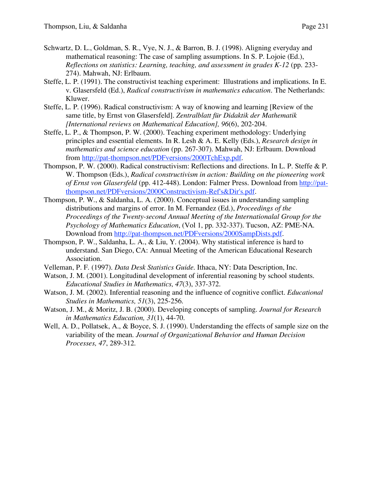- Schwartz, D. L., Goldman, S. R., Vye, N. J., & Barron, B. J. (1998). Aligning everyday and mathematical reasoning: The case of sampling assumptions. In S. P. Lojoie (Ed.), *Reflections on statistics: Learning, teaching, and assessment in grades K-12* (pp. 233- 274). Mahwah, NJ: Erlbaum.
- Steffe, L. P. (1991). The constructivist teaching experiment: Illustrations and implications. In E. v. Glasersfeld (Ed.), *Radical constructivism in mathematics education*. The Netherlands: Kluwer.
- Steffe, L. P. (1996). Radical constructivism: A way of knowing and learning [Review of the same title, by Ernst von Glasersfeld]. *Zentralblatt für Didaktik der Mathematik [International reviews on Mathematical Education], 96*(6), 202-204.
- Steffe, L. P., & Thompson, P. W. (2000). Teaching experiment methodology: Underlying principles and essential elements. In R. Lesh & A. E. Kelly (Eds.), *Research design in mathematics and science education* (pp. 267-307). Mahwah, NJ: Erlbaum. Download from http://pat-thompson.net/PDFversions/2000TchExp.pdf.
- Thompson, P. W. (2000). Radical constructivism: Reflections and directions. In L. P. Steffe & P. W. Thompson (Eds.), *Radical constructivism in action: Building on the pioneering work of Ernst von Glasersfeld* (pp. 412-448). London: Falmer Press. Download from http://patthompson.net/PDFversions/2000Constructivism-Ref's&Dir's.pdf.
- Thompson, P. W., & Saldanha, L. A. (2000). Conceptual issues in understanding sampling distributions and margins of error*.* In M. Fernandez (Ed.), *Proceedings of the Proceedings of the Twenty-second Annual Meeting of the Internationalal Group for the Psychology of Mathematics Education*, (Vol 1, pp. 332-337). Tucson, AZ: PME-NA. Download from http://pat-thompson.net/PDFversions/2000SampDists.pdf.
- Thompson, P. W., Saldanha, L. A., & Liu, Y. (2004). Why statistical inference is hard to understand. San Diego, CA: Annual Meeting of the American Educational Research Association.
- Velleman, P. F. (1997). *Data Desk Statistics Guide*. Ithaca, NY: Data Description, Inc.
- Watson, J. M. (2001). Longitudinal development of inferential reasoning by school students. *Educational Studies in Mathematics, 47*(3), 337-372.
- Watson, J. M. (2002). Inferential reasoning and the influence of cognitive conflict. *Educational Studies in Mathematics, 51*(3), 225-256.
- Watson, J. M., & Moritz, J. B. (2000). Developing concepts of sampling. *Journal for Research in Mathematics Education, 31*(1), 44-70.
- Well, A. D., Pollatsek, A., & Boyce, S. J. (1990). Understanding the effects of sample size on the variability of the mean. *Journal of Organizational Behavior and Human Decision Processes, 47*, 289-312.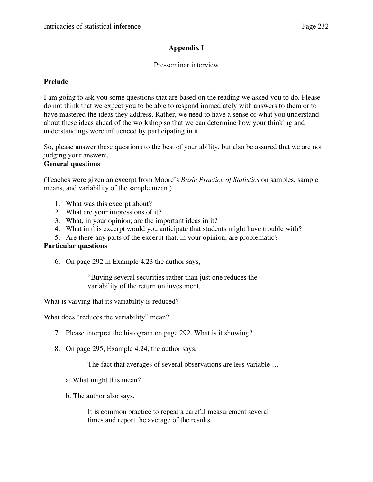# **Appendix I**

### Pre-seminar interview

# **Prelude**

I am going to ask you some questions that are based on the reading we asked you to do. Please do not think that we expect you to be able to respond immediately with answers to them or to have mastered the ideas they address. Rather, we need to have a sense of what you understand about these ideas ahead of the workshop so that we can determine how your thinking and understandings were influenced by participating in it.

So, please answer these questions to the best of your ability, but also be assured that we are not judging your answers.

### **General questions**

(Teaches were given an excerpt from Moore's *Basic Practice of Statistics* on samples, sample means, and variability of the sample mean.)

- 1. What was this excerpt about?
- 2. What are your impressions of it?
- 3. What, in your opinion, are the important ideas in it?
- 4. What in this excerpt would you anticipate that students might have trouble with?
- 5. Are there any parts of the excerpt that, in your opinion, are problematic?

### **Particular questions**

6. On page 292 in Example 4.23 the author says,

"Buying several securities rather than just one reduces the variability of the return on investment.

What is varying that its variability is reduced?

What does "reduces the variability" mean?

- 7. Please interpret the histogram on page 292. What is it showing?
- 8. On page 295, Example 4.24, the author says,

The fact that averages of several observations are less variable …

- a. What might this mean?
- b. The author also says,

It is common practice to repeat a careful measurement several times and report the average of the results.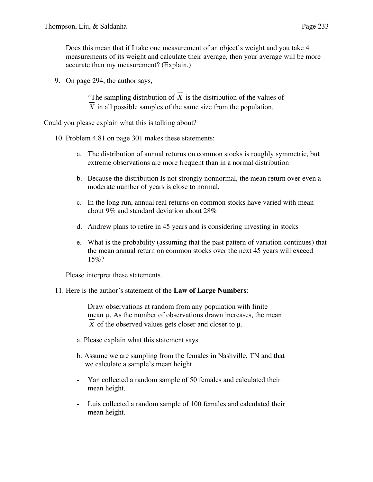9. On page 294, the author says,

"The sampling distribution of  $X$  is the distribution of the values of *X* in all possible samples of the same size from the population.

Could you please explain what this is talking about?

10. Problem 4.81 on page 301 makes these statements:

- a. The distribution of annual returns on common stocks is roughly symmetric, but extreme observations are more frequent than in a normal distribution
- b. Because the distribution Is not strongly nonnormal, the mean return over even a moderate number of years is close to normal.
- c. In the long run, annual real returns on common stocks have varied with mean about 9% and standard deviation about 28%
- d. Andrew plans to retire in 45 years and is considering investing in stocks
- e. What is the probability (assuming that the past pattern of variation continues) that the mean annual return on common stocks over the next 45 years will exceed 15%?

Please interpret these statements.

# 11. Here is the author's statement of the **Law of Large Numbers**:

Draw observations at random from any population with finite mean  $\mu$ . As the number of observations drawn increases, the mean *X* of the observed values gets closer and closer to  $\mu$ .

- a. Please explain what this statement says.
- b. Assume we are sampling from the females in Nashville, TN and that we calculate a sample's mean height.
- Yan collected a random sample of 50 females and calculated their mean height.
- Luis collected a random sample of 100 females and calculated their mean height.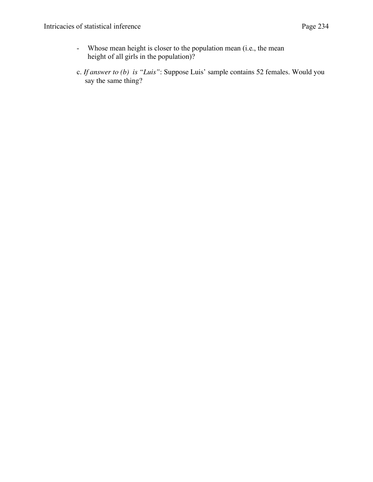- Whose mean height is closer to the population mean (i.e., the mean height of all girls in the population)?
- c. *If answer to (b) is "Luis"*: Suppose Luis' sample contains 52 females. Would you say the same thing?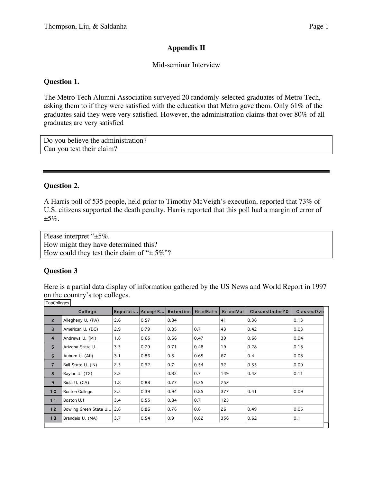# **Appendix II**

### Mid-seminar Interview

#### **Question 1.**

The Metro Tech Alumni Association surveyed 20 randomly-selected graduates of Metro Tech, asking them to if they were satisfied with the education that Metro gave them. Only 61% of the graduates said they were very satisfied. However, the administration claims that over 80% of all graduates are very satisfied

Do you believe the administration? Can you test their claim?

#### **Question 2.**

A Harris poll of 535 people, held prior to Timothy McVeigh's execution, reported that 73% of U.S. citizens supported the death penalty. Harris reported that this poll had a margin of error of ±5%.

Please interpret "±5%. How might they have determined this? How could they test their claim of " $\pm$  5%"?

### **Question 3**

Here is a partial data display of information gathered by the US News and World Report in 1997 on the country's top colleges. **TopColleges** 

|                | College               |     | Reputati   AcceptR   Retention |      | GradRate | <b>BrandVal</b> | ClassesUnder20 | <b>ClassesOve</b> |
|----------------|-----------------------|-----|--------------------------------|------|----------|-----------------|----------------|-------------------|
| $\overline{2}$ | Allegheny U. (PA)     | 2.6 | 0.57                           | 0.84 |          | 41              | 0.36           | 0.13              |
| 3              | American U. (DC)      | 2.9 | 0.79                           | 0.85 | 0.7      | 43              | 0.42           | 0.03              |
| $\overline{4}$ | Andrews U. (MI)       | 1.8 | 0.65                           | 0.66 | 0.47     | 39              | 0.68           | 0.04              |
| 5              | Arizona State U.      | 3.3 | 0.79                           | 0.71 | 0.48     | 19              | 0.28           | 0.18              |
| 6              | Auburn U. (AL)        | 3.1 | 0.86                           | 0.8  | 0.65     | 67              | 0.4            | 0.08              |
| $\overline{7}$ | Ball State U. (IN)    | 2.5 | 0.92                           | 0.7  | 0.54     | 32              | 0.35           | 0.09              |
| 8              | Baylor U. (TX)        | 3.3 |                                | 0.83 | 0.7      | 149             | 0.42           | 0.11              |
| 9              | Biola U. (CA)         | 1.8 | 0.88                           | 0.77 | 0.55     | 252             |                |                   |
| 10             | <b>Boston College</b> | 3.5 | 0.39                           | 0.94 | 0.85     | 377             | 0.41           | 0.09              |
| 11             | Boston U.1            | 3.4 | 0.55                           | 0.84 | 0.7      | 125             |                |                   |
| 12             | Bowling Green State U | 2.6 | 0.86                           | 0.76 | 0.6      | 26              | 0.49           | 0.05              |
| 13             | Brandeis U. (MA)      | 3.7 | 0.54                           | 0.9  | 0.82     | 356             | 0.62           | 0.1               |